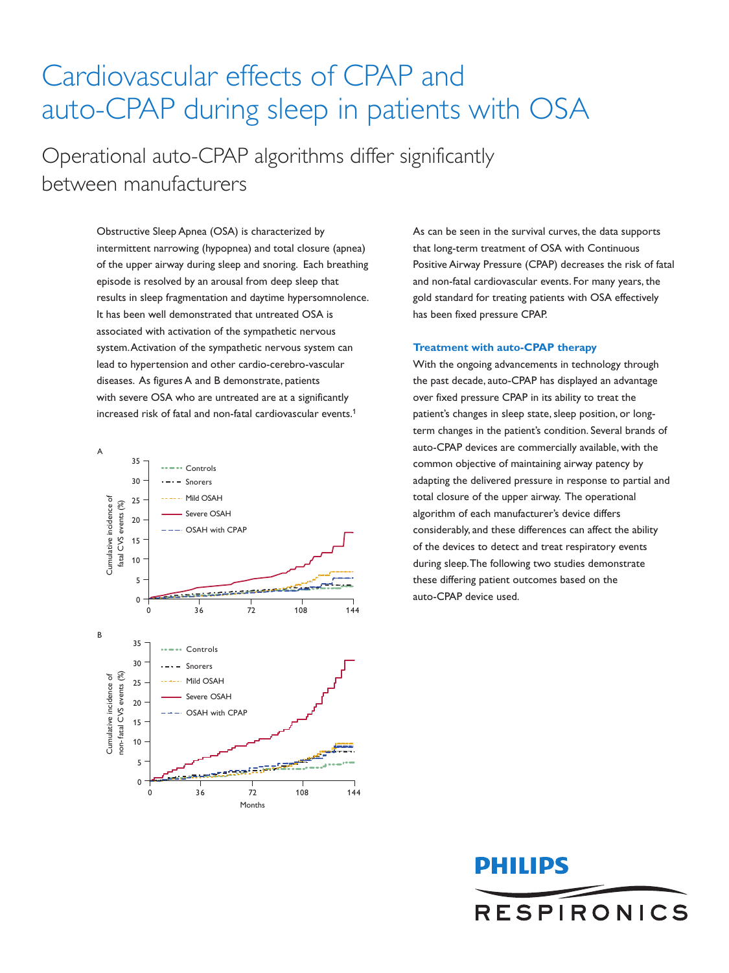## Cardiovascular effects of CPAP and auto-CPAP during sleep in patients with OSA

Operational auto-CPAP algorithms differ significantly between manufacturers

> Obstructive Sleep Apnea (OSA) is characterized by intermittent narrowing (hypopnea) and total closure (apnea) of the upper airway during sleep and snoring. Each breathing episode is resolved by an arousal from deep sleep that results in sleep fragmentation and daytime hypersomnolence. It has been well demonstrated that untreated OSA is associated with activation of the sympathetic nervous system. Activation of the sympathetic nervous system can lead to hypertension and other cardio-cerebro-vascular diseases. As figures A and B demonstrate, patients with severe OSA who are untreated are at a significantly increased risk of fatal and non-fatal cardiovascular events.1



As can be seen in the survival curves, the data supports that long-term treatment of OSA with Continuous Positive Airway Pressure (CPAP) decreases the risk of fatal and non-fatal cardiovascular events. For many years, the gold standard for treating patients with OSA effectively has been fixed pressure CPAP.

## **Treatment with auto-CPAP therapy**

With the ongoing advancements in technology through the past decade, auto-CPAP has displayed an advantage over fixed pressure CPAP in its ability to treat the patient's changes in sleep state, sleep position, or longterm changes in the patient's condition. Several brands of auto-CPAP devices are commercially available, with the common objective of maintaining airway patency by adapting the delivered pressure in response to partial and total closure of the upper airway. The operational algorithm of each manufacturer's device differs considerably, and these differences can affect the ability of the devices to detect and treat respiratory events during sleep. The following two studies demonstrate these differing patient outcomes based on the auto-CPAP device used.

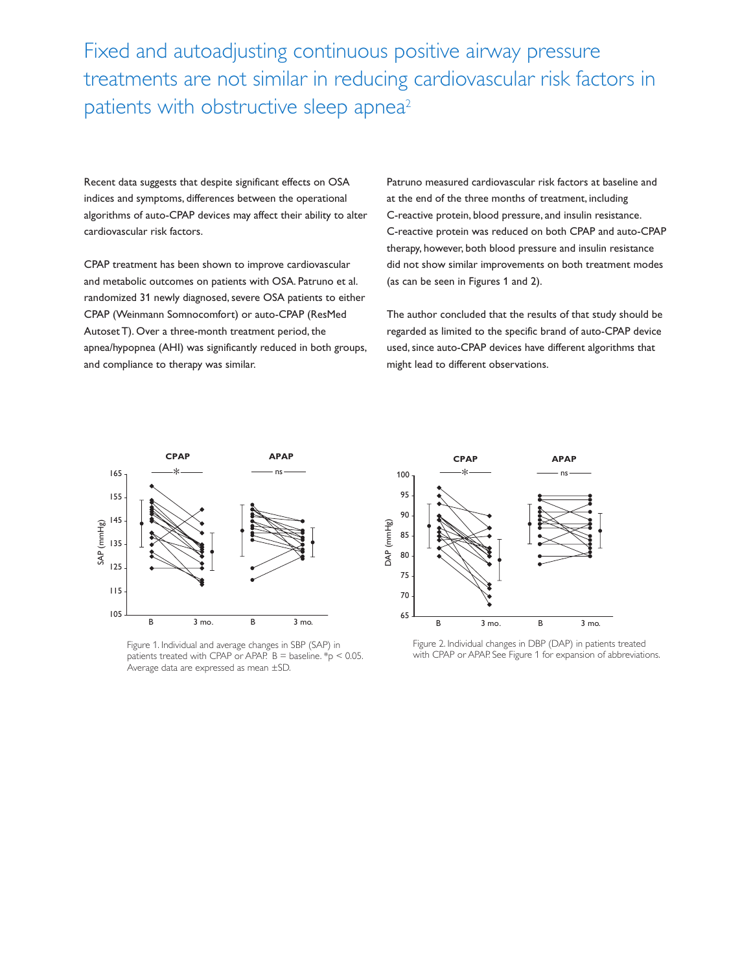Fixed and autoadjusting continuous positive airway pressure treatments are not similar in reducing cardiovascular risk factors in patients with obstructive sleep apnea<sup>2</sup>

Recent data suggests that despite significant effects on OSA indices and symptoms, differences between the operational algorithms of auto-CPAP devices may affect their ability to alter cardiovascular risk factors.

CPAP treatment has been shown to improve cardiovascular and metabolic outcomes on patients with OSA. Patruno et al. randomized 31 newly diagnosed, severe OSA patients to either CPAP (Weinmann Somnocomfort) or auto-CPAP (ResMed Autoset T). Over a three-month treatment period, the apnea/hypopnea (AHI) was significantly reduced in both groups, and compliance to therapy was similar.

Patruno measured cardiovascular risk factors at baseline and at the end of the three months of treatment, including C-reactive protein, blood pressure, and insulin resistance. C-reactive protein was reduced on both CPAP and auto-CPAP therapy, however, both blood pressure and insulin resistance did not show similar improvements on both treatment modes (as can be seen in Figures 1 and 2).

The author concluded that the results of that study should be regarded as limited to the specific brand of auto-CPAP device used, since auto-CPAP devices have different algorithms that might lead to different observations.



Figure 1. Individual and average changes in SBP (SAP) in patients treated with CPAP or APAP. B = baseline.  $*_{p}$  < 0.05. Average data are expressed as mean ±SD.



Figure 2. Individual changes in DBP (DAP) in patients treated with CPAP or APAP. See Figure 1 for expansion of abbreviations.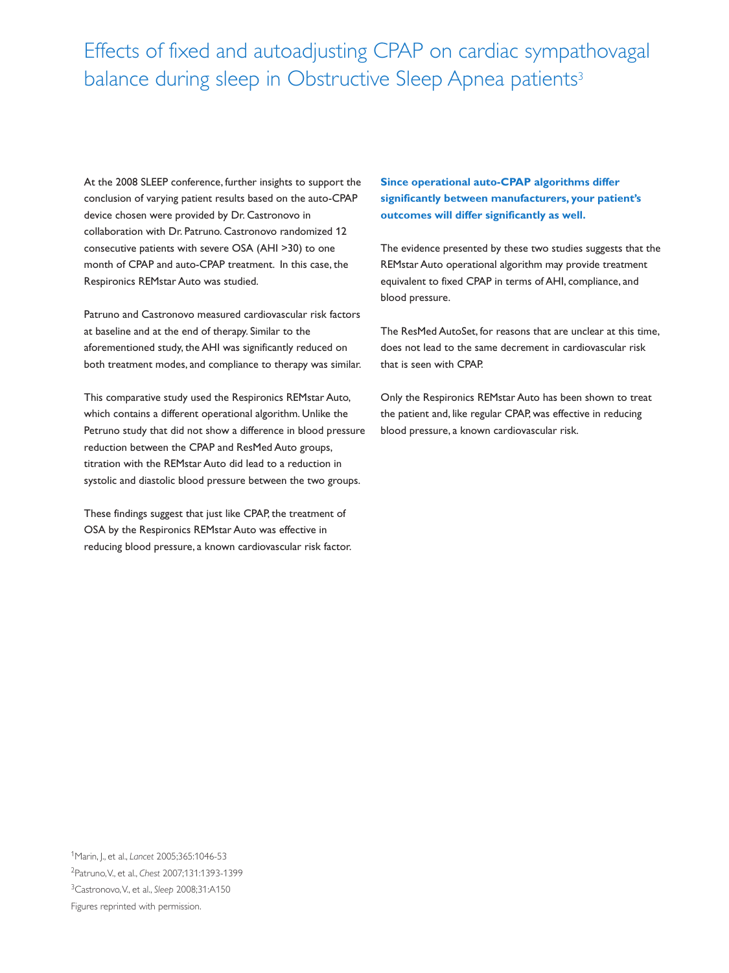## Effects of fixed and autoadjusting CPAP on cardiac sympathovagal balance during sleep in Obstructive Sleep Apnea patients<sup>3</sup>

At the 2008 SLEEP conference, further insights to support the conclusion of varying patient results based on the auto-CPAP device chosen were provided by Dr. Castronovo in collaboration with Dr. Patruno. Castronovo randomized 12 consecutive patients with severe OSA (AHI >30) to one month of CPAP and auto-CPAP treatment. In this case, the Respironics REMstar Auto was studied.

Patruno and Castronovo measured cardiovascular risk factors at baseline and at the end of therapy. Similar to the aforementioned study, the AHI was significantly reduced on both treatment modes, and compliance to therapy was similar.

This comparative study used the Respironics REMstar Auto, which contains a different operational algorithm. Unlike the Petruno study that did not show a difference in blood pressure reduction between the CPAP and ResMed Auto groups, titration with the REMstar Auto did lead to a reduction in systolic and diastolic blood pressure between the two groups.

These findings suggest that just like CPAP, the treatment of OSA by the Respironics REMstar Auto was effective in reducing blood pressure, a known cardiovascular risk factor. **Since operational auto-CPAP algorithms differ significantly between manufacturers, your patient's outcomes will differ significantly as well.** 

The evidence presented by these two studies suggests that the REMstar Auto operational algorithm may provide treatment equivalent to fixed CPAP in terms of AHI, compliance, and blood pressure.

The ResMed AutoSet, for reasons that are unclear at this time, does not lead to the same decrement in cardiovascular risk that is seen with CPAP.

Only the Respironics REMstar Auto has been shown to treat the patient and, like regular CPAP, was effective in reducing blood pressure, a known cardiovascular risk.

1Marin, J., et al., *Lancet* 2005;365:1046-53 2Patruno, V., et al., *Chest* 2007;131:1393-1399 3Castronovo, V., et al., *Sleep* 2008;31:A150 Figures reprinted with permission.